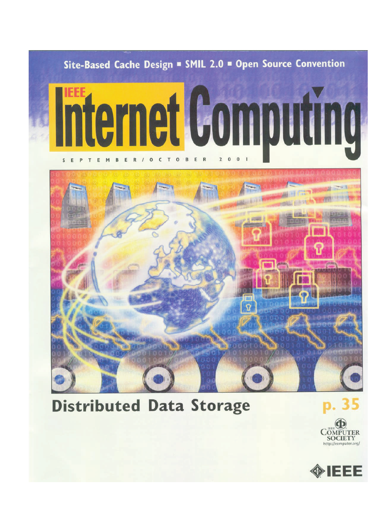



# **Distributed Data Storage**



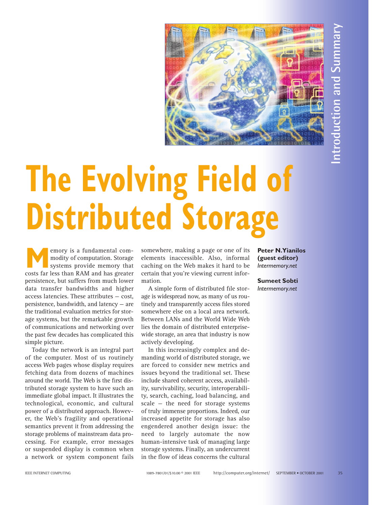

# **The Evolving Field of Distributed Storage**  IEEE INTERNET COMPUTING 1089-7801/01/\$10.00 © 2001 IEEE http://computer.org/internet/ SEPTEMBER • OCTOBER 2001 35**Introduction and Summary**

**Memory is a fundamental com-**<br>
modity of computation. Storage<br>
systems provide memory that<br>
costs far less than RAM and has greater modity of computation. Storage systems provide memory that persistence, but suffers from much lower data transfer bandwidths and higher access latencies. These attributes — cost, persistence, bandwidth, and latency — are the traditional evaluation metrics for storage systems, but the remarkable growth of communications and networking over the past few decades has complicated this simple picture.

Today the network is an integral part of the computer. Most of us routinely access Web pages whose display requires fetching data from dozens of machines around the world. The Web is the first distributed storage system to have such an immediate global impact. It illustrates the technological, economic, and cultural power of a distributed approach. However, the Web's fragility and operational semantics prevent it from addressing the storage problems of mainstream data processing. For example, error messages or suspended display is common when a network or system component fails somewhere, making a page or one of its elements inaccessible. Also, informal caching on the Web makes it hard to be certain that you're viewing current information.

A simple form of distributed file storage is widespread now, as many of us routinely and transparently access files stored somewhere else on a local area network. Between LANs and the World Wide Web lies the domain of distributed enterprisewide storage, an area that industry is now actively developing.

In this increasingly complex and demanding world of distributed storage, we are forced to consider new metrics and issues beyond the traditional set. These include shared coherent access, availability, survivability, security, interoperability, search, caching, load balancing, and scale — the need for storage systems of truly immense proportions. Indeed, our increased appetite for storage has also engendered another design issue: the need to largely automate the now human-intensive task of managing large storage systems. Finally, an undercurrent in the flow of ideas concerns the cultural

**Peter N.Yianilos (guest editor)** *Intermemory.net*

**Sumeet Sobti** *Intermemory.net*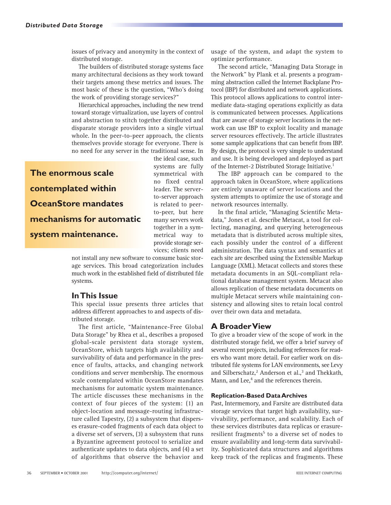issues of privacy and anonymity in the context of distributed storage.

The builders of distributed storage systems face many architectural decisions as they work toward their targets among these metrics and issues. The most basic of these is the question, "Who's doing the work of providing storage services?"

Hierarchical approaches, including the new trend toward storage virtualization, use layers of control and abstraction to stitch together distributed and disparate storage providers into a single virtual whole. In the peer-to-peer approach, the clients themselves provide storage for everyone. There is no need for any server in the traditional sense. In

**The enormous scale contemplated within OceanStore mandates mechanisms for automatic system maintenance.**

the ideal case, such systems are fully symmetrical with no fixed central leader. The serverto-server approach is related to peerto-peer, but here many servers work together in a symmetrical way to provide storage services; clients need

not install any new software to consume basic storage services. This broad categorization includes much work in the established field of distributed file systems.

# **In This Issue**

This special issue presents three articles that address different approaches to and aspects of distributed storage.

The first article, "Maintenance-Free Global Data Storage" by Rhea et al., describes a proposed global-scale persistent data storage system, OceanStore, which targets high availability and survivability of data and performance in the presence of faults, attacks, and changing network conditions and server membership. The enormous scale contemplated within OceanStore mandates mechanisms for automatic system maintenance. The article discusses these mechanisms in the context of four pieces of the system: (1) an object-location and message-routing infrastructure called Tapestry, (2) a subsystem that disperses erasure-coded fragments of each data object to a diverse set of servers, (3) a subsystem that runs a Byzantine agreement protocol to serialize and authenticate updates to data objects, and (4) a set of algorithms that observe the behavior and

usage of the system, and adapt the system to optimize performance.

The second article, "Managing Data Storage in the Network" by Plank et al. presents a programming abstraction called the Internet Backplane Protocol (IBP) for distributed and network applications. This protocol allows applications to control intermediate data-staging operations explicitly as data is communicated between processes. Applications that are aware of storage server locations in the network can use IBP to exploit locality and manage server resources effectively. The article illustrates some sample applications that can benefit from IBP. By design, the protocol is very simple to understand and use. It is being developed and deployed as part of the Internet-2 Distributed Storage Initiative.<sup>1</sup>

The IBP approach can be compared to the approach taken in OceanStore, where applications are entirely unaware of server locations and the system attempts to optimize the use of storage and network resources internally.

In the final article, "Managing Scientific Metadata," Jones et al. describe Metacat, a tool for collecting, managing, and querying heterogeneous metadata that is distributed across multiple sites, each possibly under the control of a different administration. The data syntax and semantics at each site are described using the Extensible Markup Language (XML). Metacat collects and stores these metadata documents in an SQL-compliant relational database management system. Metacat also allows replication of these metadata documents on multiple Metacat servers while maintaining consistency and allowing sites to retain local control over their own data and metadata.

## **A Broader View**

To give a broader view of the scope of work in the distributed storage field, we offer a brief survey of several recent projects, including references for readers who want more detail. For earlier work on distributed file systems for LAN environments, see Levy and Silberschatz,<sup>2</sup> Anderson et al.,<sup>3</sup> and Thekkath, Mann, and Lee,<sup>4</sup> and the references therein.

### **Replication-Based Data Archives**

Past, Intermemory, and Farsite are distributed data storage services that target high availability, survivability, performance, and scalability. Each of these services distributes data replicas or erasureresilient fragments<sup>5</sup> to a diverse set of nodes to ensure availability and long-term data survivability. Sophisticated data structures and algorithms keep track of the replicas and fragments. These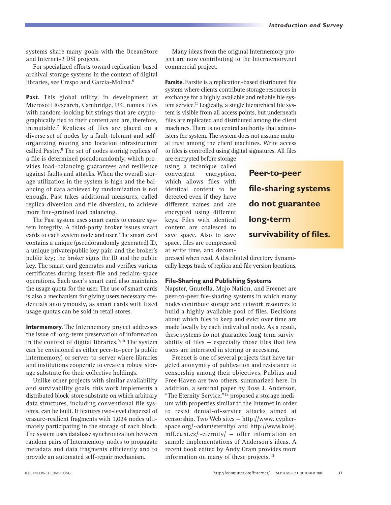systems share many goals with the OceanStore and Internet-2 DSI projects.

For specialized efforts toward replication-based archival storage systems in the context of digital libraries, see Crespo and Garcia-Molina.<sup>6</sup>

**Past.** This global utility, in development at Microsoft Research, Cambridge, UK, names files with random-looking bit strings that are cryptographically tied to their content and are, therefore, immutable.<sup>7</sup> Replicas of files are placed on a diverse set of nodes by a fault-tolerant and selforganizing routing and location infrastructure called Pastry.8 The set of nodes storing replicas of a file is determined pseudorandomly, which provides load-balancing guarantees and resilience against faults and attacks. When the overall storage utilization in the system is high and the balancing of data achieved by randomization is not enough, Past takes additional measures, called replica diversion and file diversion, to achieve more fine-grained load balancing.

The Past system uses smart cards to ensure system integrity. A third-party broker issues smart cards to each system node and user. The smart card contains a unique (pseudorandomly generated) ID, a unique private/public key pair, and the broker's public key; the broker signs the ID and the public key. The smart card generates and verifies various certificates during insert-file and reclaim-space operations. Each user's smart card also maintains the usage quota for the user. The use of smart cards is also a mechanism for giving users necessary credentials anonymously, as smart cards with fixed usage quotas can be sold in retail stores.

**Intermemory.** The Intermemory project addresses the issue of long-term preservation of information in the context of digital libraries. $9,10$  The system can be envisioned as either peer-to-peer (a public intermemory) or server-to-server where libraries and institutions cooperate to create a robust storage substrate for their collective holdings.

Unlike other projects with similar availability and survivability goals, this work implements a distributed block-store substrate on which arbitrary data structures, including conventional file systems, can be built. It features two-level dispersal of erasure-resilient fragments with 1,024 nodes ultimately participating in the storage of each block. The system uses database synchronization between random pairs of Intermemory nodes to propagate metadata and data fragments efficiently and to provide an automated self-repair mechanism.

Many ideas from the original Intermemory project are now contributing to the Intermemory.net commercial project.

**Farsite.** Farsite is a replication-based distributed file system where clients contribute storage resources in exchange for a highly available and reliable file system service.<sup>11</sup> Logically, a single hierarchical file system is visible from all access points, but underneath files are replicated and distributed among the client machines. There is no central authority that administers the system. The system does not assume mutual trust among the client machines. Write access to files is controlled using digital signatures. All files

are encrypted before storage using a technique called convergent encryption, which allows files with identical content to be detected even if they have different names and are encrypted using different keys. Files with identical content are coalesced to save space. Also to save space, files are compressed at write time, and decom-

**Peer-to-peer file-sharing systems do not guarantee long-term survivability of files.**

pressed when read. A distributed directory dynamically keeps track of replica and file version locations.

### **File-Sharing and Publishing Systems**

Napster, Gnutella, Mojo Nation, and Freenet are peer-to-peer file-sharing systems in which many nodes contribute storage and network resources to build a highly available pool of files. Decisions about which files to keep and evict over time are made locally by each individual node. As a result, these systems do not guarantee long-term survivability of files — especially those files that few users are interested in storing or accessing.

Freenet is one of several projects that have targeted anonymity of publication and resistance to censorship among their objectives. Publius and Free Haven are two others, summarized here. In addition, a seminal paper by Ross J. Anderson, "The Eternity Service,"<sup>12</sup> proposed a storage medium with properties similar to the Internet in order to resist denial-of-service attacks aimed at censorship. Two Web sites — http://www. cypherspace.org/~adam/eternity/ and http://www.kolej. mff.cuni.cz/~eternity/ — offer information on sample implementations of Anderson's ideas. A recent book edited by Andy Oram provides more information on many of these projects.<sup>13</sup>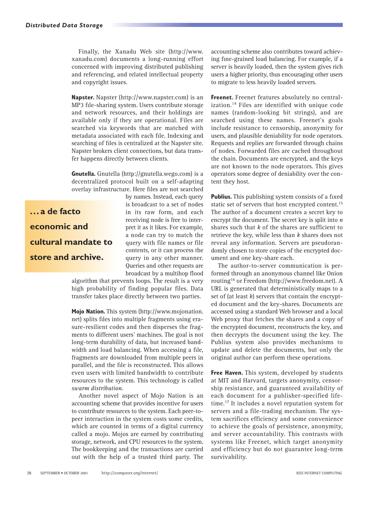Finally, the Xanadu Web site (http://www. xanadu.com) documents a long-running effort concerned with improving distributed publishing and referencing, and related intellectual property and copyright issues.

**Napster.** Napster (http://www.napster.com) is an MP3 file-sharing system. Users contribute storage and network resources, and their holdings are available only if they are operational. Files are searched via keywords that are matched with metadata associated with each file. Indexing and searching of files is centralized at the Napster site. Napster brokers client connections, but data transfer happens directly between clients.

**Gnutella.** Gnutella (http://gnutella.wego.com) is a decentralized protocol built on a self-adapting overlay infrastructure. Here files are not searched

**... a de facto economic and cultural mandate to store and archive.**

by names. Instead, each query is broadcast to a set of nodes in its raw form, and each receiving node is free to interpret it as it likes. For example, a node can try to match the query with file names or file contents, or it can process the query in any other manner. Queries and other requests are broadcast by a multihop flood

algorithm that prevents loops. The result is a very high probability of finding popular files. Data transfer takes place directly between two parties.

**Mojo Nation.** This system (http://www.mojonation. net) splits files into multiple fragments using erasure-resilient codes and then disperses the fragments to different users' machines. The goal is not long-term durability of data, but increased bandwidth and load balancing. When accessing a file, fragments are downloaded from multiple peers in parallel, and the file is reconstructed. This allows even users with limited bandwidth to contribute resources to the system. This technology is called *swarm distribution.*

Another novel aspect of Mojo Nation is an accounting scheme that provides incentive for users to contribute resources to the system. Each peer-topeer interaction in the system costs some credits, which are counted in terms of a digital currency called a mojo. Mojos are earned by contributing storage, network, and CPU resources to the system. The bookkeeping and the transactions are carried out with the help of a trusted third party. The

accounting scheme also contributes toward achieving fine-grained load balancing. For example, if a server is heavily loaded, then the system gives rich users a higher priority, thus encouraging other users to migrate to less heavily loaded servers.

**Freenet.** Freenet features absolutely no centralization.<sup>14</sup> Files are identified with unique code names (random-looking bit strings), and are searched using these names. Freenet's goals include resistance to censorship, anonymity for users, and plausible deniability for node operators. Requests and replies are forwarded through chains of nodes. Forwarded files are cached throughout the chain. Documents are encrypted, and the keys are not known to the node operators. This gives operators some degree of deniability over the content they host.

**Publius.** This publishing system consists of a fixed static set of servers that host encrypted content.<sup>15</sup> The author of a document creates a secret key to encrypt the document. The secret key is split into *n* shares such that *k* of the shares are sufficient to retrieve the key, while less than *k* shares does not reveal any information. Servers are pseudorandomly chosen to store copies of the encrypted document and one key-share each.

The author-to-server communication is performed through an anonymous channel like Onion routing16 or Freedom (http://www.freedom.net). A URL is generated that deterministically maps to a set of (at least *k*) servers that contain the encrypted document and the key-shares. Documents are accessed using a standard Web browser and a local Web proxy that fetches the shares and a copy of the encrypted document, reconstructs the key, and then decrypts the document using the key. The Publius system also provides mechanisms to update and delete the documents, but only the original author can perform these operations.

**Free Haven.** This system, developed by students at MIT and Harvard, targets anonymity, censorship resistance, and guaranteed availability of each document for a publisher-specified lifetime.<sup>17</sup> It includes a novel reputation system for servers and a file-trading mechanism. The system sacrifices efficiency and some convenience to achieve the goals of persistence, anonymity, and server accountability. This contrasts with systems like Freenet, which target anonymity and efficiency but do not guarantee long-term survivability.